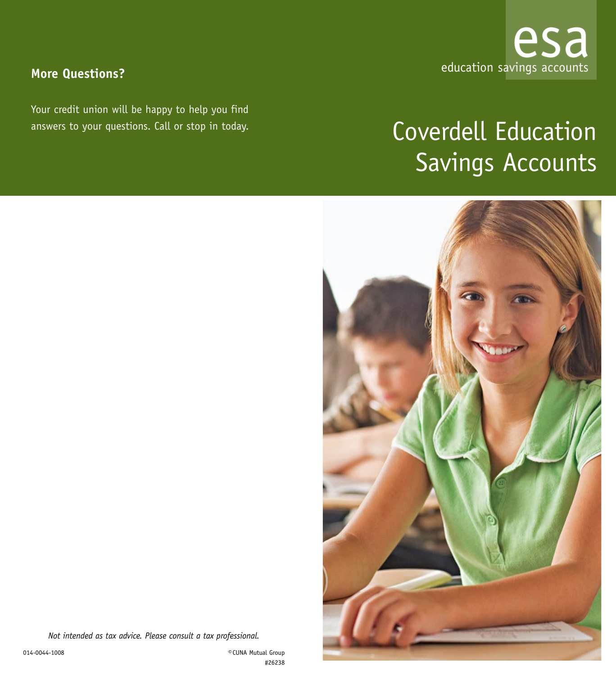

# **More Questions?**

Your credit union will be happy to help you find answers to your questions. Call or stop in today.

# Coverdell Education Savings Accounts



*Not intended as tax advice. Please consult a tax professional.*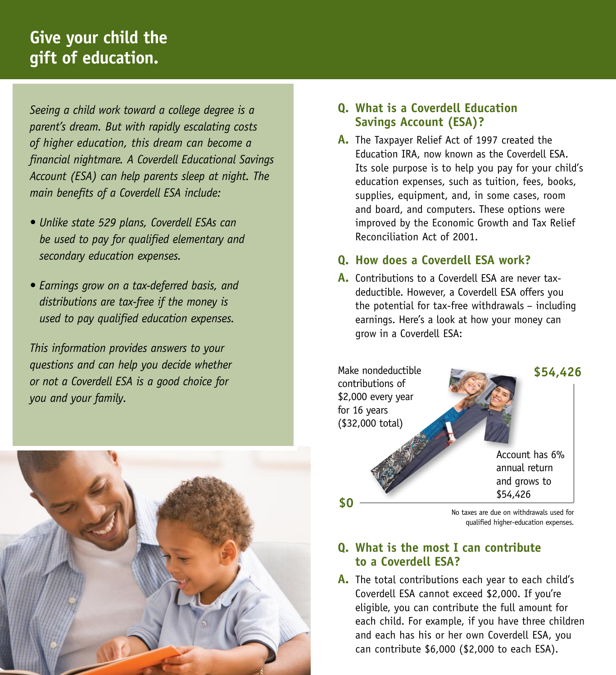# **Give your child the gift of education.**

*Seeing a child work toward a college degree is a parent's dream. But with rapidly escalating costs of higher education, this dream can become a financial nightmare. A Coverdell Educational Savings Account (ESA) can help parents sleep at night. The main benefits of a Coverdell ESA include:*

- *Unlike state 529 plans, Coverdell ESAs can be used to pay for qualified elementary and secondary education expenses.*
- *Earnings grow on a tax-deferred basis, and distributions are tax-free if the money is used to pay qualified education expenses.*

*This information provides answers to your questions and can help you decide whether or not a Coverdell ESA is a good choice for you and your family.*



#### **Q. What is a Coverdell Education Savings Account (ESA)?**

**A.** The Taxpayer Relief Act of 1997 created the Education IRA, now known as the Coverdell ESA. Its sole purpose is to help you pay for your child's education expenses, such as tuition, fees, books, supplies, equipment, and, in some cases, room and board, and computers. These options were improved by the Economic Growth and Tax Relief Reconciliation Act of 2001.

#### **Q. How does a Coverdell ESA work?**

**A.** Contributions to a Coverdell ESA are never taxdeductible. However, a Coverdell ESA offers you the potential for tax-free withdrawals – including earnings. Here's a look at how your money can grow in a Coverdell ESA:



qualified higher-education expenses.

#### **Q. What is the most I can contribute to a Coverdell ESA?**

**A.** The total contributions each year to each child's Coverdell ESA cannot exceed \$2,000. If you're eligible, you can contribute the full amount for each child. For example, if you have three children and each has his or her own Coverdell ESA, you can contribute \$6,000 (\$2,000 to each ESA).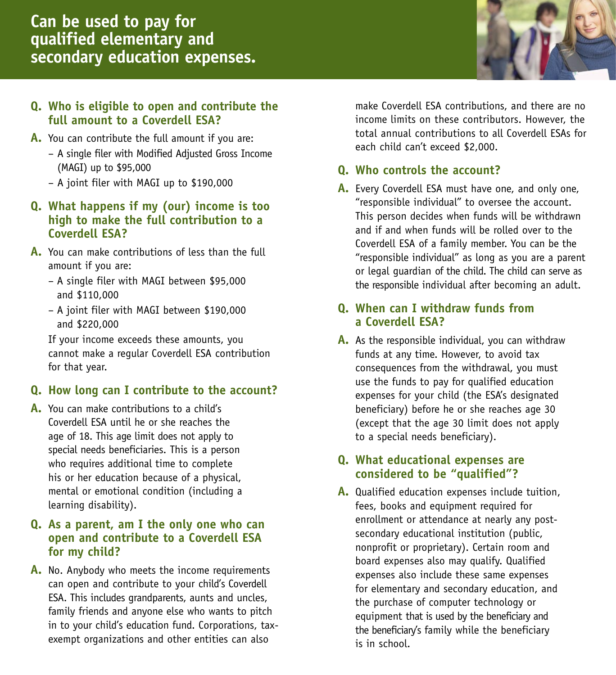#### **Q. Who is eligible to open and contribute the full amount to a Coverdell ESA?**

- **A.** You can contribute the full amount if you are:
	- A single filer with Modified Adjusted Gross Income (MAGI) up to \$95,000
	- A joint filer with MAGI up to \$190,000

#### **Q. What happens if my (our) income is too high to make the full contribution to a Coverdell ESA?**

- **A.** You can make contributions of less than the full amount if you are:
	- A single filer with MAGI between \$95,000 and \$110,000
	- A joint filer with MAGI between \$190,000 and \$220,000

 If your income exceeds these amounts, you cannot make a regular Coverdell ESA contribution for that year.

# **Q. How long can I contribute to the account?**

**A.** You can make contributions to a child's Coverdell ESA until he or she reaches the age of 18. This age limit does not apply to special needs beneficiaries. This is a person who requires additional time to complete his or her education because of a physical, mental or emotional condition (including a learning disability).

#### **Q. As a parent, am I the only one who can open and contribute to a Coverdell ESA for my child?**

**A.** No. Anybody who meets the income requirements can open and contribute to your child's Coverdell ESA. This includes grandparents, aunts and uncles, family friends and anyone else who wants to pitch in to your child's education fund. Corporations, taxexempt organizations and other entities can also

make Coverdell ESA contributions, and there are no income limits on these contributors. However, the total annual contributions to all Coverdell ESAs for each child can't exceed \$2,000.

#### **Q. Who controls the account?**

**A.** Every Coverdell ESA must have one, and only one, "responsible individual" to oversee the account. This person decides when funds will be withdrawn and if and when funds will be rolled over to the Coverdell ESA of a family member. You can be the "responsible individual" as long as you are a parent or legal guardian of the child. The child can serve as the responsible individual after becoming an adult.

#### **Q. When can I withdraw funds from a Coverdell ESA?**

**A.** As the responsible individual, you can withdraw funds at any time. However, to avoid tax consequences from the withdrawal, you must use the funds to pay for qualified education expenses for your child (the ESA's designated beneficiary) before he or she reaches age 30 (except that the age 30 limit does not apply to a special needs beneficiary).

#### **Q. What educational expenses are considered to be "qualified"?**

**A.** Qualified education expenses include tuition, fees, books and equipment required for enrollment or attendance at nearly any postsecondary educational institution (public, nonprofit or proprietary). Certain room and board expenses also may qualify. Qualified expenses also include these same expenses for elementary and secondary education, and the purchase of computer technology or equipment that is used by the beneficiary and the beneficiary's family while the beneficiary is in school.